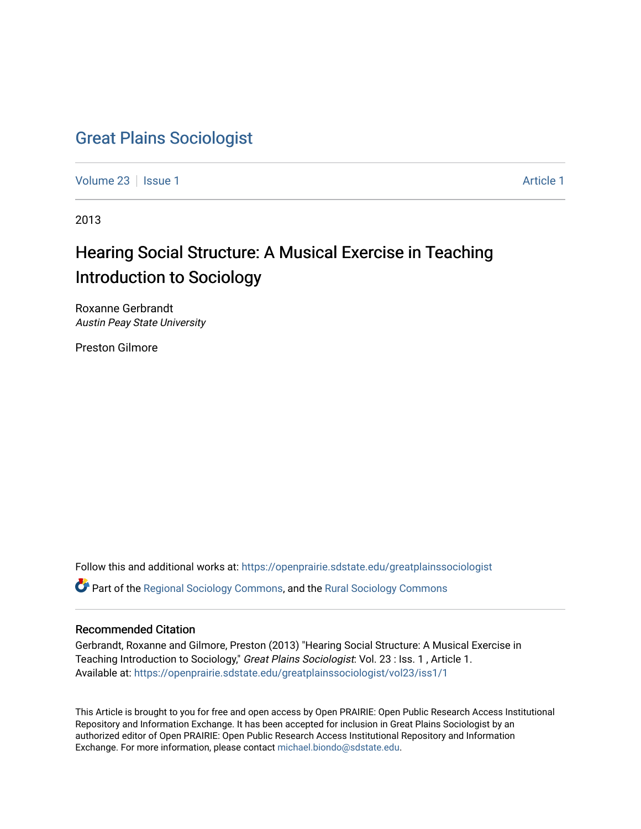## [Great Plains Sociologist](https://openprairie.sdstate.edu/greatplainssociologist)

[Volume 23](https://openprairie.sdstate.edu/greatplainssociologist/vol23) | [Issue 1](https://openprairie.sdstate.edu/greatplainssociologist/vol23/iss1) [Article 1](https://openprairie.sdstate.edu/greatplainssociologist/vol23/iss1/1) Article 1 Article 1 Article 1 Article 1 Article 1 Article 1

2013

# Hearing Social Structure: A Musical Exercise in Teaching Introduction to Sociology

Roxanne Gerbrandt Austin Peay State University

Preston Gilmore

Follow this and additional works at: [https://openprairie.sdstate.edu/greatplainssociologist](https://openprairie.sdstate.edu/greatplainssociologist?utm_source=openprairie.sdstate.edu%2Fgreatplainssociologist%2Fvol23%2Fiss1%2F1&utm_medium=PDF&utm_campaign=PDFCoverPages) 

Part of the [Regional Sociology Commons](http://network.bepress.com/hgg/discipline/427?utm_source=openprairie.sdstate.edu%2Fgreatplainssociologist%2Fvol23%2Fiss1%2F1&utm_medium=PDF&utm_campaign=PDFCoverPages), and the [Rural Sociology Commons](http://network.bepress.com/hgg/discipline/428?utm_source=openprairie.sdstate.edu%2Fgreatplainssociologist%2Fvol23%2Fiss1%2F1&utm_medium=PDF&utm_campaign=PDFCoverPages) 

## Recommended Citation

Gerbrandt, Roxanne and Gilmore, Preston (2013) "Hearing Social Structure: A Musical Exercise in Teaching Introduction to Sociology," Great Plains Sociologist: Vol. 23 : Iss. 1, Article 1. Available at: [https://openprairie.sdstate.edu/greatplainssociologist/vol23/iss1/1](https://openprairie.sdstate.edu/greatplainssociologist/vol23/iss1/1?utm_source=openprairie.sdstate.edu%2Fgreatplainssociologist%2Fvol23%2Fiss1%2F1&utm_medium=PDF&utm_campaign=PDFCoverPages)

This Article is brought to you for free and open access by Open PRAIRIE: Open Public Research Access Institutional Repository and Information Exchange. It has been accepted for inclusion in Great Plains Sociologist by an authorized editor of Open PRAIRIE: Open Public Research Access Institutional Repository and Information Exchange. For more information, please contact [michael.biondo@sdstate.edu.](mailto:michael.biondo@sdstate.edu)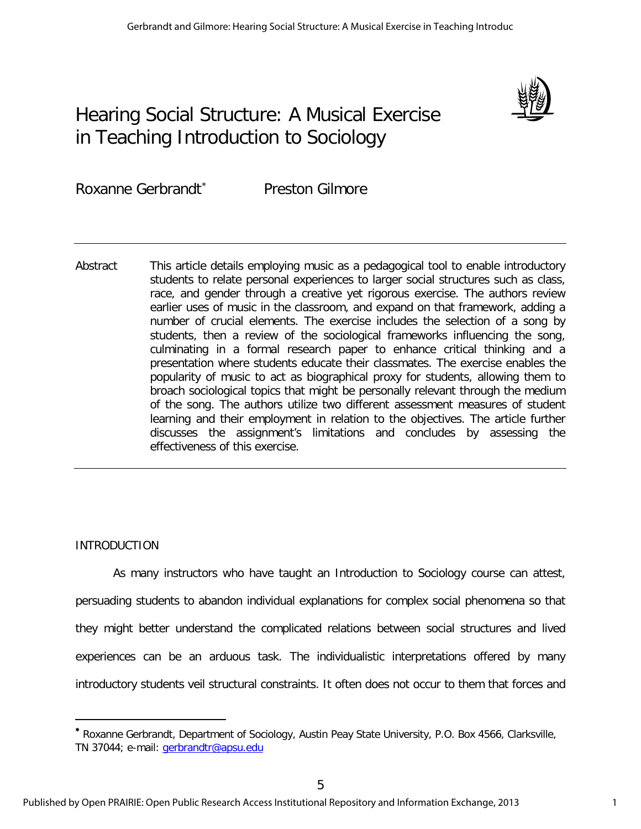# Hearing Social Structure: A Musical Exercise in Teaching Introduction to Sociology



Roxanne Gerbrandt<sup>∗</sup> Preston Gilmore

Abstract This article details employing music as a pedagogical tool to enable introductory students to relate personal experiences to larger social structures such as class, race, and gender through a creative yet rigorous exercise. The authors review earlier uses of music in the classroom, and expand on that framework, adding a number of crucial elements. The exercise includes the selection of a song by students, then a review of the sociological frameworks influencing the song, culminating in a formal research paper to enhance critical thinking and a presentation where students educate their classmates. The exercise enables the popularity of music to act as biographical proxy for students, allowing them to broach sociological topics that might be personally relevant through the medium of the song. The authors utilize two different assessment measures of student learning and their employment in relation to the objectives. The article further discusses the assignment's limitations and concludes by assessing the effectiveness of this exercise.

## INTRODUCTION

 $\overline{a}$ 

As many instructors who have taught an Introduction to Sociology course can attest, persuading students to abandon individual explanations for complex social phenomena so that they might better understand the complicated relations between social structures and lived experiences can be an arduous task. The individualistic interpretations offered by many introductory students veil structural constraints. It often does not occur to them that forces and

<sup>∗</sup> Roxanne Gerbrandt, Department of Sociology, Austin Peay State University, P.O. Box 4566, Clarksville, TN 37044; e-mail: [gerbrandtr@apsu.edu](mailto:gerbrandtr@apsu.edu)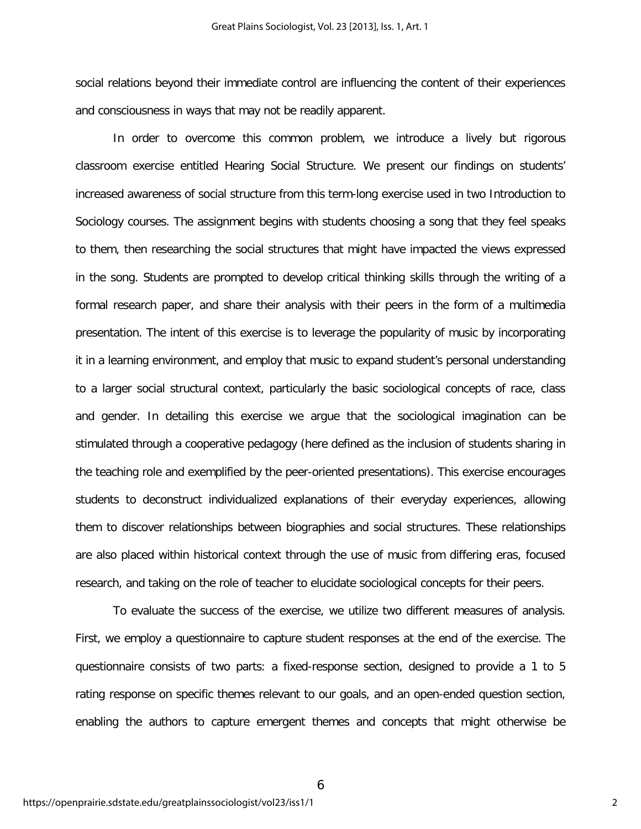social relations beyond their immediate control are influencing the content of their experiences and consciousness in ways that may not be readily apparent.

In order to overcome this common problem, we introduce a lively but rigorous classroom exercise entitled Hearing Social Structure. We present our findings on students' increased awareness of social structure from this term-long exercise used in two Introduction to Sociology courses. The assignment begins with students choosing a song that they feel speaks to them, then researching the social structures that might have impacted the views expressed in the song. Students are prompted to develop critical thinking skills through the writing of a formal research paper, and share their analysis with their peers in the form of a multimedia presentation. The intent of this exercise is to leverage the popularity of music by incorporating it in a learning environment, and employ that music to expand student's personal understanding to a larger social structural context, particularly the basic sociological concepts of race, class and gender. In detailing this exercise we argue that the sociological imagination can be stimulated through a cooperative pedagogy (here defined as the inclusion of students sharing in the teaching role and exemplified by the peer-oriented presentations). This exercise encourages students to deconstruct individualized explanations of their everyday experiences, allowing them to discover relationships between biographies and social structures. These relationships are also placed within historical context through the use of music from differing eras, focused research, and taking on the role of teacher to elucidate sociological concepts for their peers.

To evaluate the success of the exercise, we utilize two different measures of analysis. First, we employ a questionnaire to capture student responses at the end of the exercise. The questionnaire consists of two parts: a fixed-response section, designed to provide a 1 to 5 rating response on specific themes relevant to our goals, and an open-ended question section, enabling the authors to capture emergent themes and concepts that might otherwise be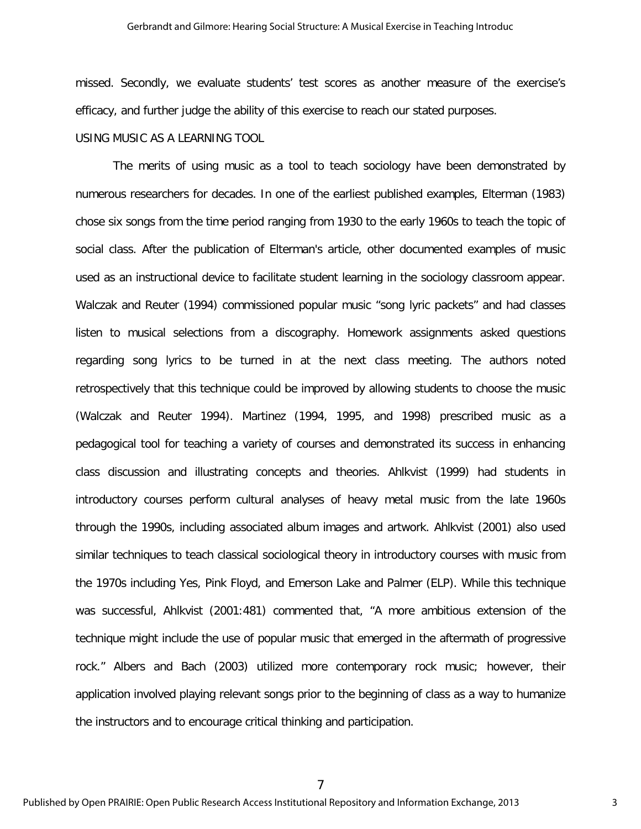#### Gerbrandt and Gilmore: Hearing Social Structure: A Musical Exercise in Teaching Introduc

missed. Secondly, we evaluate students' test scores as another measure of the exercise's efficacy, and further judge the ability of this exercise to reach our stated purposes.

## USING MUSIC AS A LEARNING TOOL

The merits of using music as a tool to teach sociology have been demonstrated by numerous researchers for decades. In one of the earliest published examples, Elterman (1983) chose six songs from the time period ranging from 1930 to the early 1960s to teach the topic of social class. After the publication of Elterman's article, other documented examples of music used as an instructional device to facilitate student learning in the sociology classroom appear. Walczak and Reuter (1994) commissioned popular music "song lyric packets" and had classes listen to musical selections from a discography. Homework assignments asked questions regarding song lyrics to be turned in at the next class meeting. The authors noted retrospectively that this technique could be improved by allowing students to choose the music (Walczak and Reuter 1994). Martinez (1994, 1995, and 1998) prescribed music as a pedagogical tool for teaching a variety of courses and demonstrated its success in enhancing class discussion and illustrating concepts and theories. Ahlkvist (1999) had students in introductory courses perform cultural analyses of heavy metal music from the late 1960s through the 1990s, including associated album images and artwork. Ahlkvist (2001) also used similar techniques to teach classical sociological theory in introductory courses with music from the 1970s including Yes, Pink Floyd, and Emerson Lake and Palmer (ELP). While this technique was successful, Ahlkvist (2001:481) commented that, "A more ambitious extension of the technique might include the use of popular music that emerged in the aftermath of progressive rock." Albers and Bach (2003) utilized more contemporary rock music; however, their application involved playing relevant songs prior to the beginning of class as a way to humanize the instructors and to encourage critical thinking and participation.

Published by Open PRAIRIE: Open Public Research Access Institutional Repository and Information Exchange, 2013

7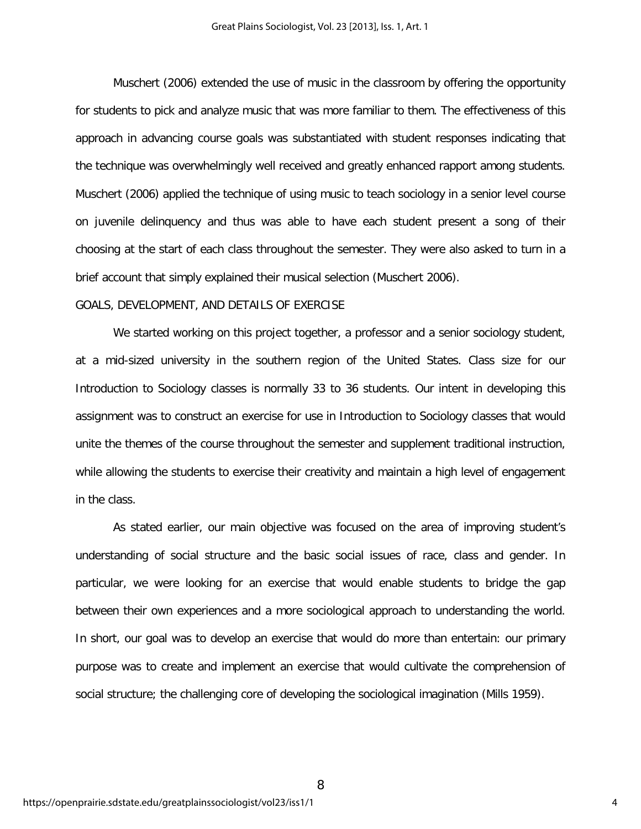Muschert (2006) extended the use of music in the classroom by offering the opportunity for students to pick and analyze music that was more familiar to them. The effectiveness of this approach in advancing course goals was substantiated with student responses indicating that the technique was overwhelmingly well received and greatly enhanced rapport among students. Muschert (2006) applied the technique of using music to teach sociology in a senior level course on juvenile delinquency and thus was able to have each student present a song of their choosing at the start of each class throughout the semester. They were also asked to turn in a brief account that simply explained their musical selection (Muschert 2006).

## GOALS, DEVELOPMENT, AND DETAILS OF EXERCISE

We started working on this project together, a professor and a senior sociology student, at a mid-sized university in the southern region of the United States. Class size for our Introduction to Sociology classes is normally 33 to 36 students. Our intent in developing this assignment was to construct an exercise for use in Introduction to Sociology classes that would unite the themes of the course throughout the semester and supplement traditional instruction, while allowing the students to exercise their creativity and maintain a high level of engagement in the class.

As stated earlier, our main objective was focused on the area of improving student's understanding of social structure and the basic social issues of race, class and gender. In particular, we were looking for an exercise that would enable students to bridge the gap between their own experiences and a more sociological approach to understanding the world. In short, our goal was to develop an exercise that would do more than entertain: our primary purpose was to create and implement an exercise that would cultivate the comprehension of social structure; the challenging core of developing the sociological imagination (Mills 1959).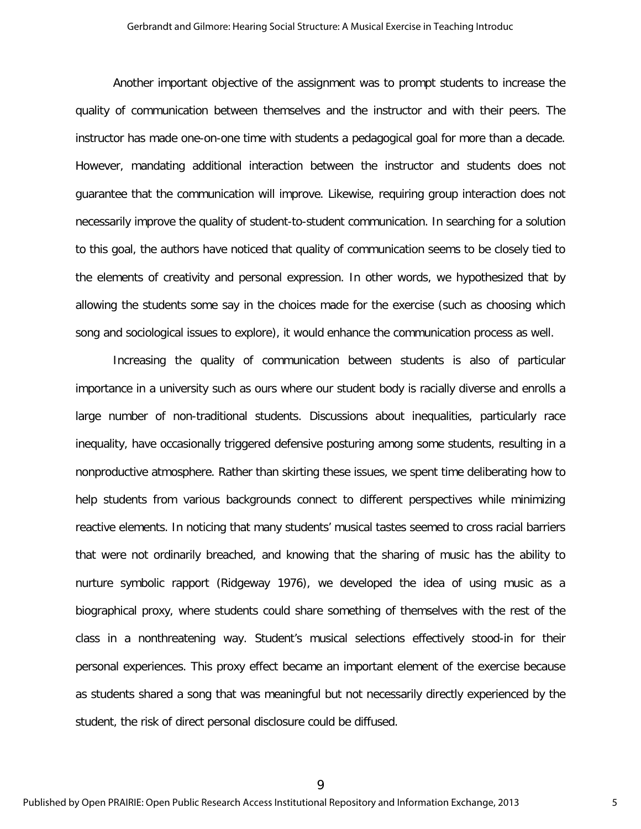Another important objective of the assignment was to prompt students to increase the quality of communication between themselves and the instructor and with their peers. The instructor has made one-on-one time with students a pedagogical goal for more than a decade. However, mandating additional interaction between the instructor and students does not guarantee that the communication will improve. Likewise, requiring group interaction does not necessarily improve the quality of student-to-student communication. In searching for a solution to this goal, the authors have noticed that quality of communication seems to be closely tied to the elements of creativity and personal expression. In other words, we hypothesized that by allowing the students some say in the choices made for the exercise (such as choosing which song and sociological issues to explore), it would enhance the communication process as well.

Increasing the quality of communication between students is also of particular importance in a university such as ours where our student body is racially diverse and enrolls a large number of non-traditional students. Discussions about inequalities, particularly race inequality, have occasionally triggered defensive posturing among some students, resulting in a nonproductive atmosphere. Rather than skirting these issues, we spent time deliberating how to help students from various backgrounds connect to different perspectives while minimizing reactive elements. In noticing that many students' musical tastes seemed to cross racial barriers that were not ordinarily breached, and knowing that the sharing of music has the ability to nurture symbolic rapport (Ridgeway 1976), we developed the idea of using music as a biographical proxy, where students could share something of themselves with the rest of the class in a nonthreatening way. Student's musical selections effectively stood-in for their personal experiences. This proxy effect became an important element of the exercise because as students shared a song that was meaningful but not necessarily directly experienced by the student, the risk of direct personal disclosure could be diffused.

9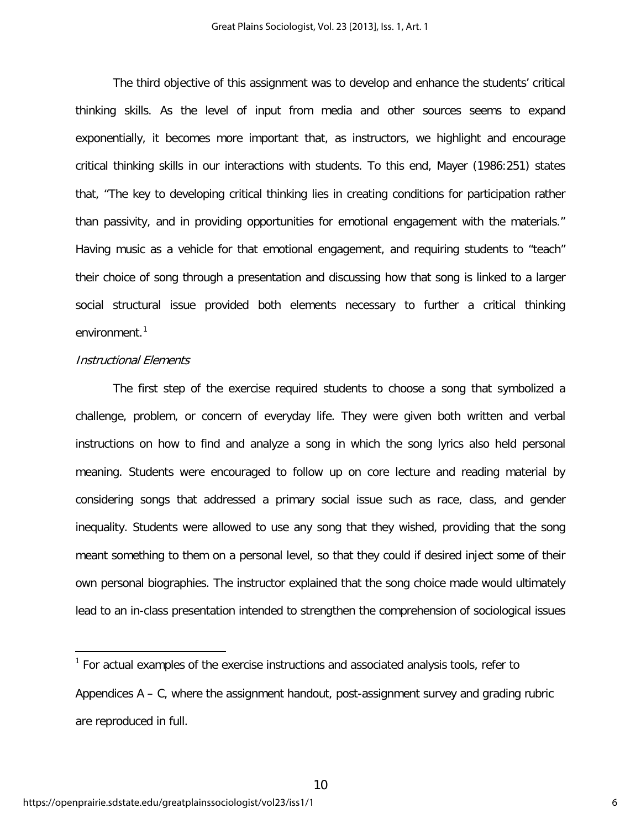The third objective of this assignment was to develop and enhance the students' critical thinking skills. As the level of input from media and other sources seems to expand exponentially, it becomes more important that, as instructors, we highlight and encourage critical thinking skills in our interactions with students. To this end, Mayer (1986:251) states that, "The key to developing critical thinking lies in creating conditions for participation rather than passivity, and in providing opportunities for emotional engagement with the materials." Having music as a vehicle for that emotional engagement, and requiring students to "teach" their choice of song through a presentation and discussing how that song is linked to a larger social structural issue provided both elements necessary to further a critical thinking environment.<sup>1</sup>

## Instructional Elements

 $\overline{a}$ 

The first step of the exercise required students to choose a song that symbolized a challenge, problem, or concern of everyday life. They were given both written and verbal instructions on how to find and analyze a song in which the song lyrics also held personal meaning. Students were encouraged to follow up on core lecture and reading material by considering songs that addressed a primary social issue such as race, class, and gender inequality. Students were allowed to use any song that they wished, providing that the song meant something to them on a personal level, so that they could if desired inject some of their own personal biographies. The instructor explained that the song choice made would ultimately lead to an in-class presentation intended to strengthen the comprehension of sociological issues

 $1$  For actual examples of the exercise instructions and associated analysis tools, refer to Appendices A – C, where the assignment handout, post-assignment survey and grading rubric are reproduced in full.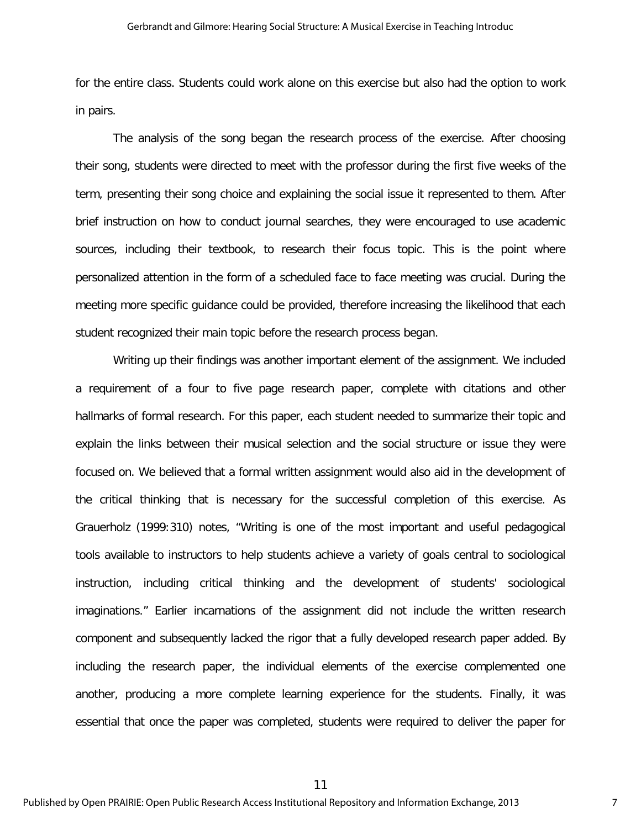for the entire class. Students could work alone on this exercise but also had the option to work in pairs.

The analysis of the song began the research process of the exercise. After choosing their song, students were directed to meet with the professor during the first five weeks of the term, presenting their song choice and explaining the social issue it represented to them. After brief instruction on how to conduct journal searches, they were encouraged to use academic sources, including their textbook, to research their focus topic. This is the point where personalized attention in the form of a scheduled face to face meeting was crucial. During the meeting more specific guidance could be provided, therefore increasing the likelihood that each student recognized their main topic before the research process began.

Writing up their findings was another important element of the assignment. We included a requirement of a four to five page research paper, complete with citations and other hallmarks of formal research. For this paper, each student needed to summarize their topic and explain the links between their musical selection and the social structure or issue they were focused on. We believed that a formal written assignment would also aid in the development of the critical thinking that is necessary for the successful completion of this exercise. As Grauerholz (1999:310) notes, "Writing is one of the most important and useful pedagogical tools available to instructors to help students achieve a variety of goals central to sociological instruction, including critical thinking and the development of students' sociological imaginations." Earlier incarnations of the assignment did not include the written research component and subsequently lacked the rigor that a fully developed research paper added. By including the research paper, the individual elements of the exercise complemented one another, producing a more complete learning experience for the students. Finally, it was essential that once the paper was completed, students were required to deliver the paper for

11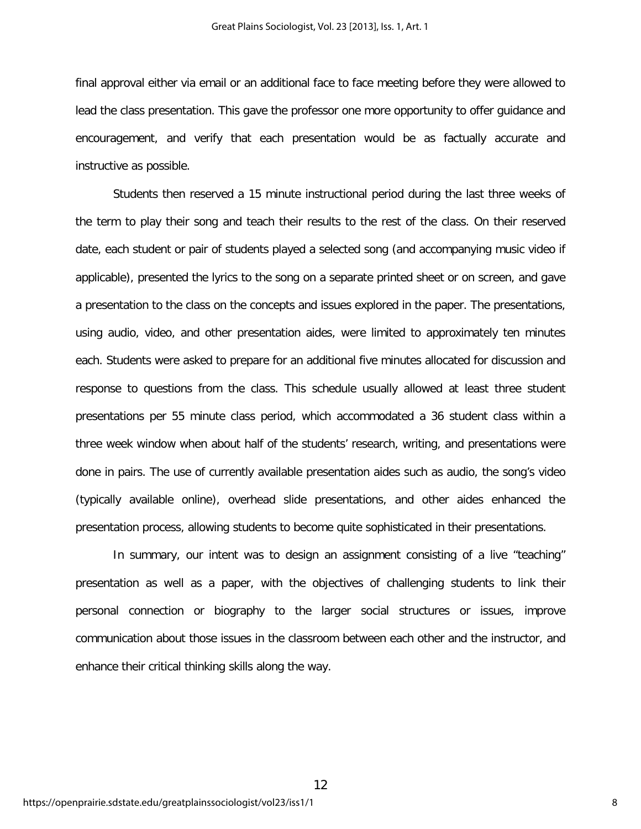final approval either via email or an additional face to face meeting before they were allowed to lead the class presentation. This gave the professor one more opportunity to offer guidance and encouragement, and verify that each presentation would be as factually accurate and instructive as possible.

Students then reserved a 15 minute instructional period during the last three weeks of the term to play their song and teach their results to the rest of the class. On their reserved date, each student or pair of students played a selected song (and accompanying music video if applicable), presented the lyrics to the song on a separate printed sheet or on screen, and gave a presentation to the class on the concepts and issues explored in the paper. The presentations, using audio, video, and other presentation aides, were limited to approximately ten minutes each. Students were asked to prepare for an additional five minutes allocated for discussion and response to questions from the class. This schedule usually allowed at least three student presentations per 55 minute class period, which accommodated a 36 student class within a three week window when about half of the students' research, writing, and presentations were done in pairs. The use of currently available presentation aides such as audio, the song's video (typically available online), overhead slide presentations, and other aides enhanced the presentation process, allowing students to become quite sophisticated in their presentations.

In summary, our intent was to design an assignment consisting of a live "teaching" presentation as well as a paper, with the objectives of challenging students to link their personal connection or biography to the larger social structures or issues, improve communication about those issues in the classroom between each other and the instructor, and enhance their critical thinking skills along the way.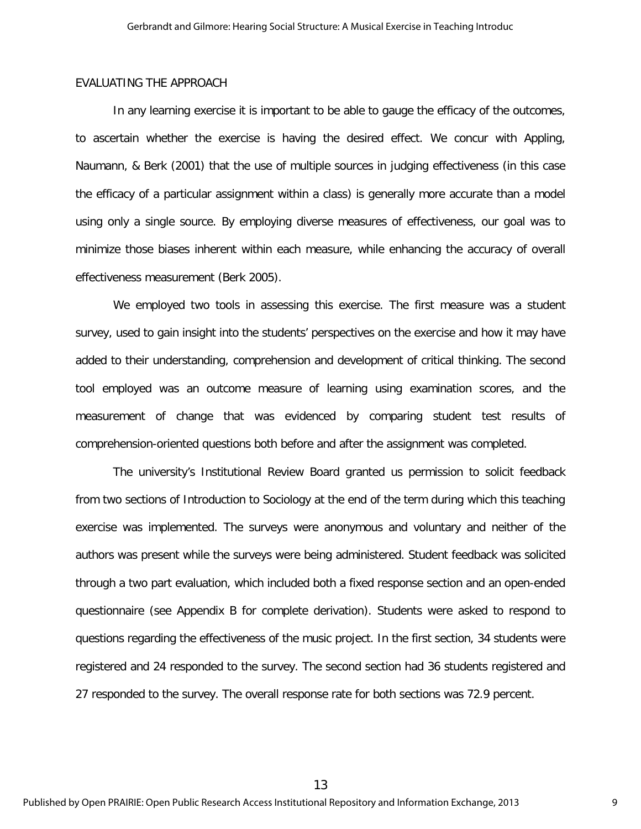## EVALUATING THE APPROACH

In any learning exercise it is important to be able to gauge the efficacy of the outcomes, to ascertain whether the exercise is having the desired effect. We concur with Appling, Naumann, & Berk (2001) that the use of multiple sources in judging effectiveness (in this case the efficacy of a particular assignment within a class) is generally more accurate than a model using only a single source. By employing diverse measures of effectiveness, our goal was to minimize those biases inherent within each measure, while enhancing the accuracy of overall effectiveness measurement (Berk 2005).

We employed two tools in assessing this exercise. The first measure was a student survey, used to gain insight into the students' perspectives on the exercise and how it may have added to their understanding, comprehension and development of critical thinking. The second tool employed was an outcome measure of learning using examination scores, and the measurement of change that was evidenced by comparing student test results of comprehension-oriented questions both before and after the assignment was completed.

The university's Institutional Review Board granted us permission to solicit feedback from two sections of Introduction to Sociology at the end of the term during which this teaching exercise was implemented. The surveys were anonymous and voluntary and neither of the authors was present while the surveys were being administered. Student feedback was solicited through a two part evaluation, which included both a fixed response section and an open-ended questionnaire (see Appendix B for complete derivation). Students were asked to respond to questions regarding the effectiveness of the music project. In the first section, 34 students were registered and 24 responded to the survey. The second section had 36 students registered and 27 responded to the survey. The overall response rate for both sections was 72.9 percent.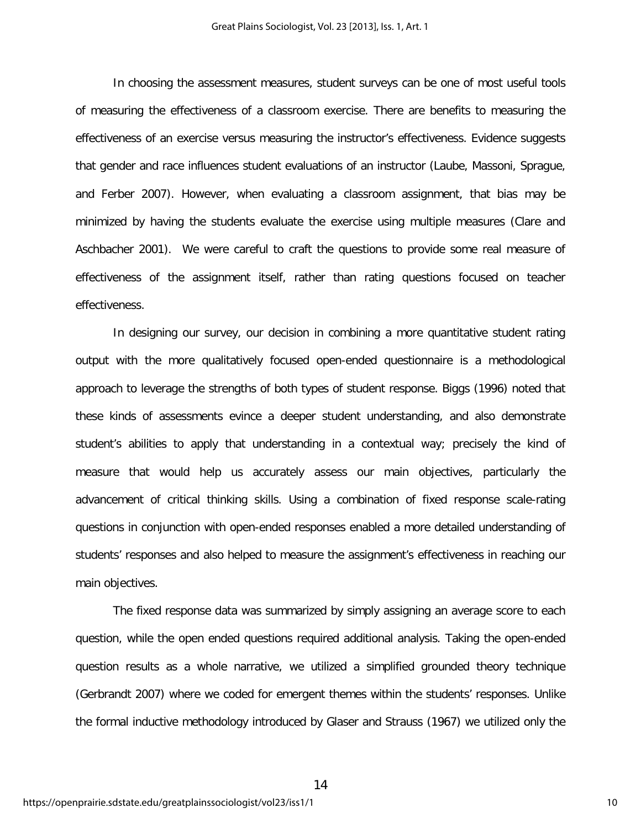In choosing the assessment measures, student surveys can be one of most useful tools of measuring the effectiveness of a classroom exercise. There are benefits to measuring the effectiveness of an exercise versus measuring the instructor's effectiveness. Evidence suggests that gender and race influences student evaluations of an instructor (Laube, Massoni, Sprague, and Ferber 2007). However, when evaluating a classroom assignment, that bias may be minimized by having the students evaluate the exercise using multiple measures (Clare and Aschbacher 2001). We were careful to craft the questions to provide some real measure of effectiveness of the assignment itself, rather than rating questions focused on teacher effectiveness.

In designing our survey, our decision in combining a more quantitative student rating output with the more qualitatively focused open-ended questionnaire is a methodological approach to leverage the strengths of both types of student response. Biggs (1996) noted that these kinds of assessments evince a deeper student understanding, and also demonstrate student's abilities to apply that understanding in a contextual way; precisely the kind of measure that would help us accurately assess our main objectives, particularly the advancement of critical thinking skills. Using a combination of fixed response scale-rating questions in conjunction with open-ended responses enabled a more detailed understanding of students' responses and also helped to measure the assignment's effectiveness in reaching our main objectives.

The fixed response data was summarized by simply assigning an average score to each question, while the open ended questions required additional analysis. Taking the open-ended question results as a whole narrative, we utilized a simplified grounded theory technique (Gerbrandt 2007) where we coded for emergent themes within the students' responses. Unlike the formal inductive methodology introduced by Glaser and Strauss (1967) we utilized only the

14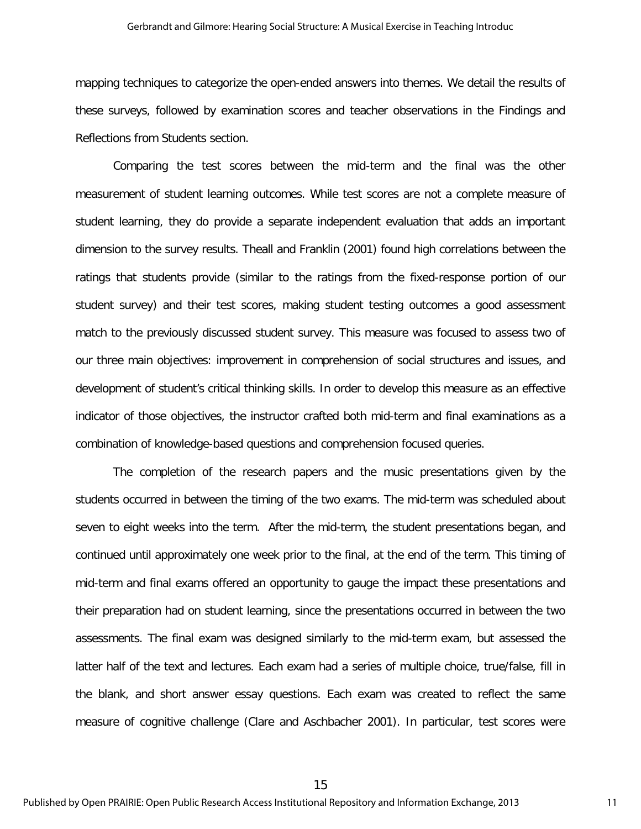#### Gerbrandt and Gilmore: Hearing Social Structure: A Musical Exercise in Teaching Introduc

mapping techniques to categorize the open-ended answers into themes. We detail the results of these surveys, followed by examination scores and teacher observations in the Findings and Reflections from Students section.

Comparing the test scores between the mid-term and the final was the other measurement of student learning outcomes. While test scores are not a complete measure of student learning, they do provide a separate independent evaluation that adds an important dimension to the survey results. Theall and Franklin (2001) found high correlations between the ratings that students provide (similar to the ratings from the fixed-response portion of our student survey) and their test scores, making student testing outcomes a good assessment match to the previously discussed student survey. This measure was focused to assess two of our three main objectives: improvement in comprehension of social structures and issues, and development of student's critical thinking skills. In order to develop this measure as an effective indicator of those objectives, the instructor crafted both mid-term and final examinations as a combination of knowledge-based questions and comprehension focused queries.

The completion of the research papers and the music presentations given by the students occurred in between the timing of the two exams. The mid-term was scheduled about seven to eight weeks into the term. After the mid-term, the student presentations began, and continued until approximately one week prior to the final, at the end of the term. This timing of mid-term and final exams offered an opportunity to gauge the impact these presentations and their preparation had on student learning, since the presentations occurred in between the two assessments. The final exam was designed similarly to the mid-term exam, but assessed the latter half of the text and lectures. Each exam had a series of multiple choice, true/false, fill in the blank, and short answer essay questions. Each exam was created to reflect the same measure of cognitive challenge (Clare and Aschbacher 2001). In particular, test scores were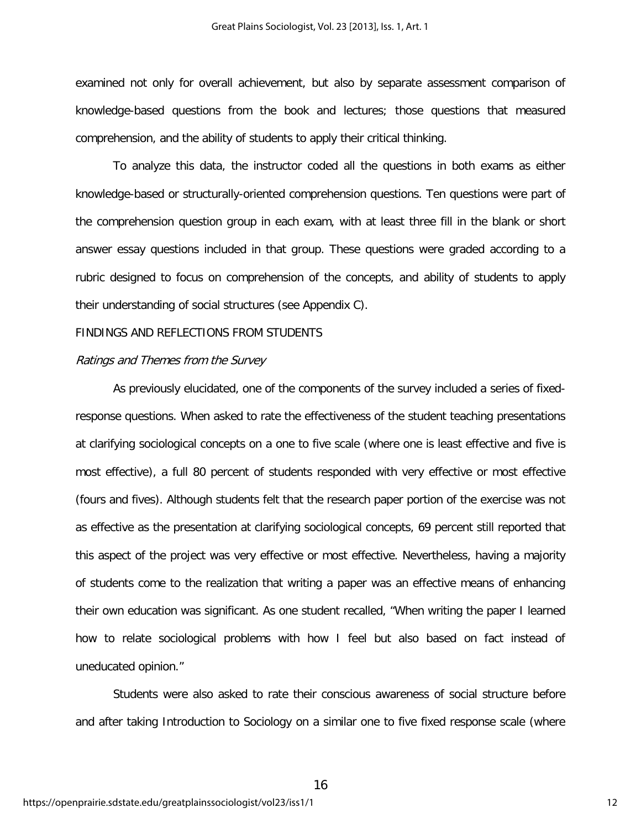examined not only for overall achievement, but also by separate assessment comparison of knowledge-based questions from the book and lectures; those questions that measured comprehension, and the ability of students to apply their critical thinking.

To analyze this data, the instructor coded all the questions in both exams as either knowledge-based or structurally-oriented comprehension questions. Ten questions were part of the comprehension question group in each exam, with at least three fill in the blank or short answer essay questions included in that group. These questions were graded according to a rubric designed to focus on comprehension of the concepts, and ability of students to apply their understanding of social structures (see Appendix C).

## FINDINGS AND REFLECTIONS FROM STUDENTS

## Ratings and Themes from the Survey

As previously elucidated, one of the components of the survey included a series of fixedresponse questions. When asked to rate the effectiveness of the student teaching presentations at clarifying sociological concepts on a one to five scale (where one is least effective and five is most effective), a full 80 percent of students responded with very effective or most effective (fours and fives). Although students felt that the research paper portion of the exercise was not as effective as the presentation at clarifying sociological concepts, 69 percent still reported that this aspect of the project was very effective or most effective. Nevertheless, having a majority of students come to the realization that writing a paper was an effective means of enhancing their own education was significant. As one student recalled, "When writing the paper I learned how to relate sociological problems with how I feel but also based on fact instead of uneducated opinion."

Students were also asked to rate their conscious awareness of social structure before and after taking Introduction to Sociology on a similar one to five fixed response scale (where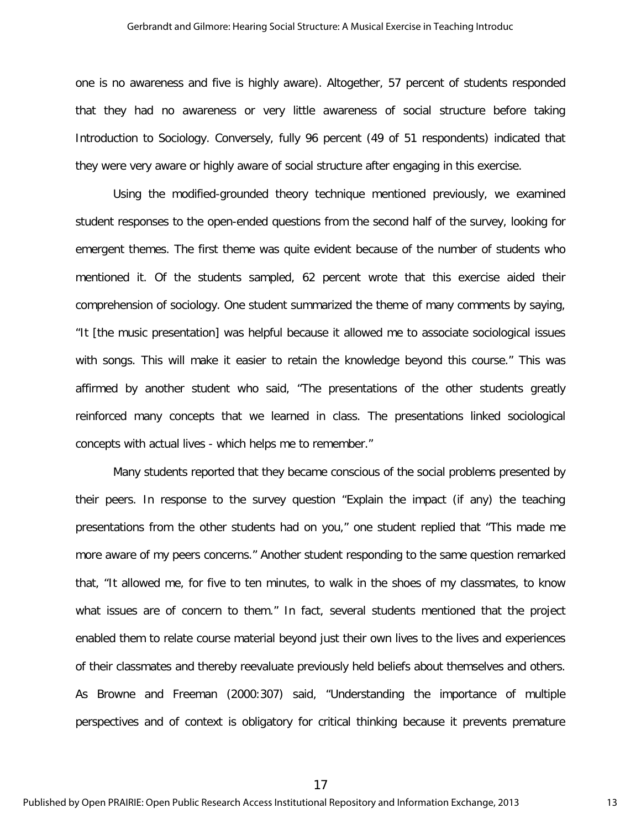one is no awareness and five is highly aware). Altogether, 57 percent of students responded that they had no awareness or very little awareness of social structure before taking Introduction to Sociology. Conversely, fully 96 percent (49 of 51 respondents) indicated that they were very aware or highly aware of social structure after engaging in this exercise.

Using the modified-grounded theory technique mentioned previously, we examined student responses to the open-ended questions from the second half of the survey, looking for emergent themes. The first theme was quite evident because of the number of students who mentioned it. Of the students sampled, 62 percent wrote that this exercise aided their comprehension of sociology. One student summarized the theme of many comments by saying, "It [the music presentation] was helpful because it allowed me to associate sociological issues with songs. This will make it easier to retain the knowledge beyond this course." This was affirmed by another student who said, "The presentations of the other students greatly reinforced many concepts that we learned in class. The presentations linked sociological concepts with actual lives - which helps me to remember."

Many students reported that they became conscious of the social problems presented by their peers. In response to the survey question "Explain the impact (if any) the teaching presentations from the other students had on you," one student replied that "This made me more aware of my peers concerns." Another student responding to the same question remarked that, "It allowed me, for five to ten minutes, to walk in the shoes of my classmates, to know what issues are of concern to them." In fact, several students mentioned that the project enabled them to relate course material beyond just their own lives to the lives and experiences of their classmates and thereby reevaluate previously held beliefs about themselves and others. As Browne and Freeman (2000:307) said, "Understanding the importance of multiple perspectives and of context is obligatory for critical thinking because it prevents premature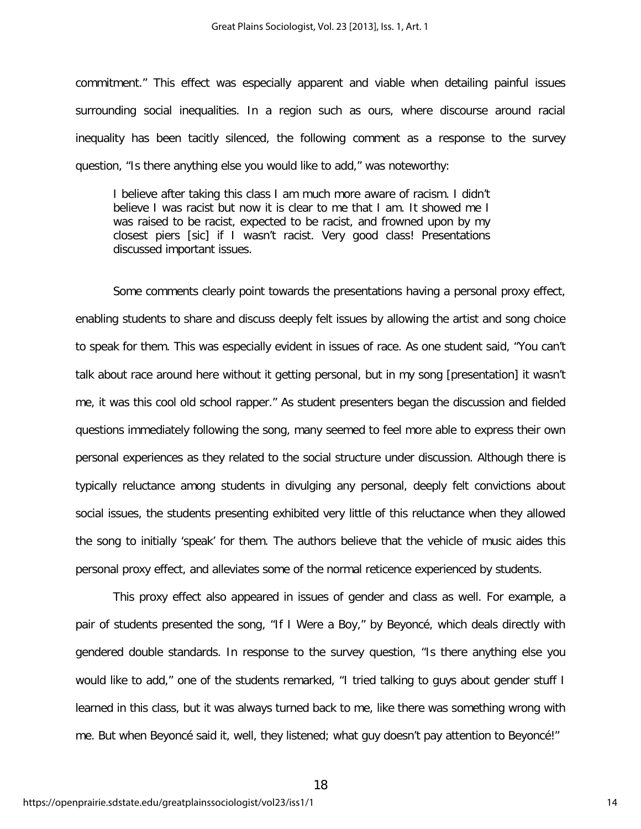commitment." This effect was especially apparent and viable when detailing painful issues surrounding social inequalities. In a region such as ours, where discourse around racial inequality has been tacitly silenced, the following comment as a response to the survey question, "Is there anything else you would like to add," was noteworthy:

I believe after taking this class I am much more aware of racism. I didn't believe I was racist but now it is clear to me that I am. It showed me I was raised to be racist, expected to be racist, and frowned upon by my closest piers [sic] if I wasn't racist. Very good class! Presentations discussed important issues.

Some comments clearly point towards the presentations having a personal proxy effect, enabling students to share and discuss deeply felt issues by allowing the artist and song choice to speak for them. This was especially evident in issues of race. As one student said, "You can't talk about race around here without it getting personal, but in my song [presentation] it wasn't me, it was this cool old school rapper." As student presenters began the discussion and fielded questions immediately following the song, many seemed to feel more able to express their own personal experiences as they related to the social structure under discussion. Although there is typically reluctance among students in divulging any personal, deeply felt convictions about social issues, the students presenting exhibited very little of this reluctance when they allowed the song to initially 'speak' for them. The authors believe that the vehicle of music aides this personal proxy effect, and alleviates some of the normal reticence experienced by students.

This proxy effect also appeared in issues of gender and class as well. For example, a pair of students presented the song, "If I Were a Boy," by Beyoncé, which deals directly with gendered double standards. In response to the survey question, "Is there anything else you would like to add," one of the students remarked, "I tried talking to guys about gender stuff I learned in this class, but it was always turned back to me, like there was something wrong with me. But when Beyoncé said it, well, they listened; what guy doesn't pay attention to Beyoncé!"

18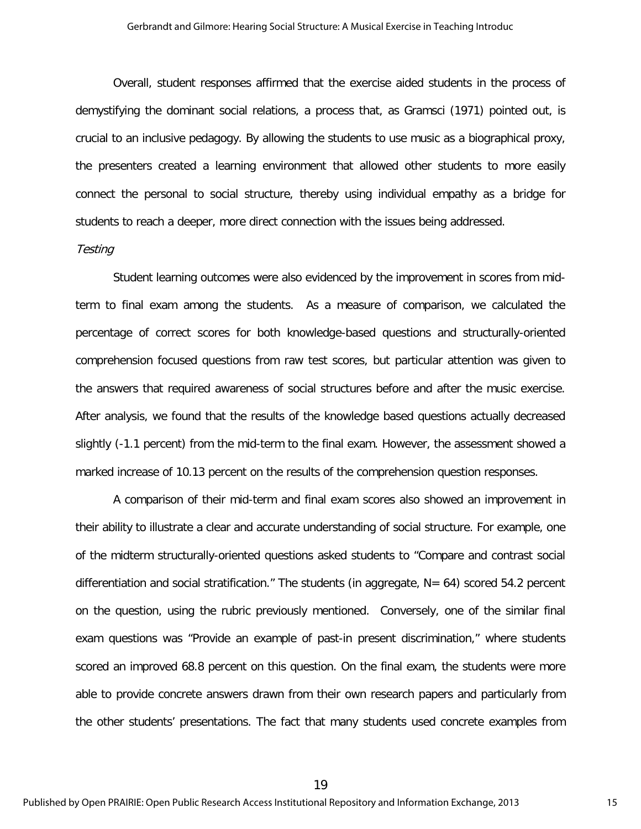Overall, student responses affirmed that the exercise aided students in the process of demystifying the dominant social relations, a process that, as Gramsci (1971) pointed out, is crucial to an inclusive pedagogy. By allowing the students to use music as a biographical proxy, the presenters created a learning environment that allowed other students to more easily connect the personal to social structure, thereby using individual empathy as a bridge for students to reach a deeper, more direct connection with the issues being addressed.

## **Testing**

Student learning outcomes were also evidenced by the improvement in scores from midterm to final exam among the students. As a measure of comparison, we calculated the percentage of correct scores for both knowledge-based questions and structurally-oriented comprehension focused questions from raw test scores, but particular attention was given to the answers that required awareness of social structures before and after the music exercise. After analysis, we found that the results of the knowledge based questions actually decreased slightly (-1.1 percent) from the mid-term to the final exam. However, the assessment showed a marked increase of 10.13 percent on the results of the comprehension question responses.

A comparison of their mid-term and final exam scores also showed an improvement in their ability to illustrate a clear and accurate understanding of social structure. For example, one of the midterm structurally-oriented questions asked students to "Compare and contrast social differentiation and social stratification." The students (in aggregate,  $N = 64$ ) scored 54.2 percent on the question, using the rubric previously mentioned. Conversely, one of the similar final exam questions was "Provide an example of past-in present discrimination," where students scored an improved 68.8 percent on this question. On the final exam, the students were more able to provide concrete answers drawn from their own research papers and particularly from the other students' presentations. The fact that many students used concrete examples from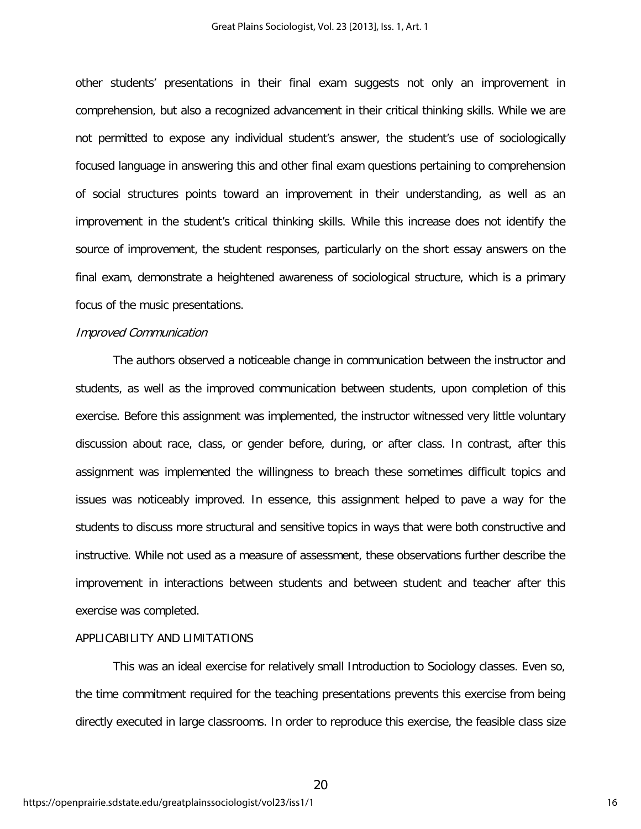other students' presentations in their final exam suggests not only an improvement in comprehension, but also a recognized advancement in their critical thinking skills. While we are not permitted to expose any individual student's answer, the student's use of sociologically focused language in answering this and other final exam questions pertaining to comprehension of social structures points toward an improvement in their understanding, as well as an improvement in the student's critical thinking skills. While this increase does not identify the source of improvement, the student responses, particularly on the short essay answers on the final exam, demonstrate a heightened awareness of sociological structure, which is a primary focus of the music presentations.

#### Improved Communication

The authors observed a noticeable change in communication between the instructor and students, as well as the improved communication between students, upon completion of this exercise. Before this assignment was implemented, the instructor witnessed very little voluntary discussion about race, class, or gender before, during, or after class. In contrast, after this assignment was implemented the willingness to breach these sometimes difficult topics and issues was noticeably improved. In essence, this assignment helped to pave a way for the students to discuss more structural and sensitive topics in ways that were both constructive and instructive. While not used as a measure of assessment, these observations further describe the improvement in interactions between students and between student and teacher after this exercise was completed.

## APPLICABILITY AND LIMITATIONS

This was an ideal exercise for relatively small Introduction to Sociology classes. Even so, the time commitment required for the teaching presentations prevents this exercise from being directly executed in large classrooms. In order to reproduce this exercise, the feasible class size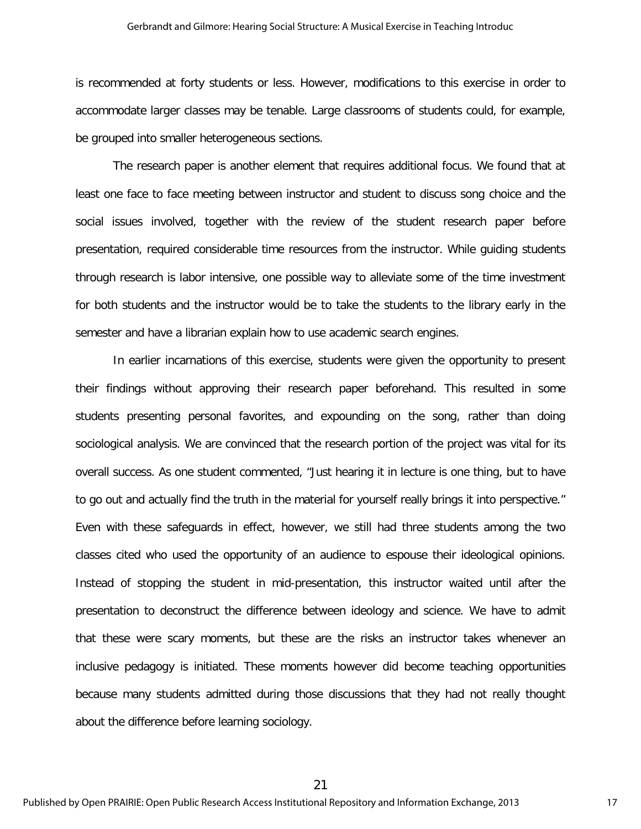#### Gerbrandt and Gilmore: Hearing Social Structure: A Musical Exercise in Teaching Introduc

is recommended at forty students or less. However, modifications to this exercise in order to accommodate larger classes may be tenable. Large classrooms of students could, for example, be grouped into smaller heterogeneous sections.

The research paper is another element that requires additional focus. We found that at least one face to face meeting between instructor and student to discuss song choice and the social issues involved, together with the review of the student research paper before presentation, required considerable time resources from the instructor. While guiding students through research is labor intensive, one possible way to alleviate some of the time investment for both students and the instructor would be to take the students to the library early in the semester and have a librarian explain how to use academic search engines.

In earlier incarnations of this exercise, students were given the opportunity to present their findings without approving their research paper beforehand. This resulted in some students presenting personal favorites, and expounding on the song, rather than doing sociological analysis. We are convinced that the research portion of the project was vital for its overall success. As one student commented, "Just hearing it in lecture is one thing, but to have to go out and actually find the truth in the material for yourself really brings it into perspective." Even with these safeguards in effect, however, we still had three students among the two classes cited who used the opportunity of an audience to espouse their ideological opinions. Instead of stopping the student in mid-presentation, this instructor waited until after the presentation to deconstruct the difference between ideology and science. We have to admit that these were scary moments, but these are the risks an instructor takes whenever an inclusive pedagogy is initiated. These moments however did become teaching opportunities because many students admitted during those discussions that they had not really thought about the difference before learning sociology.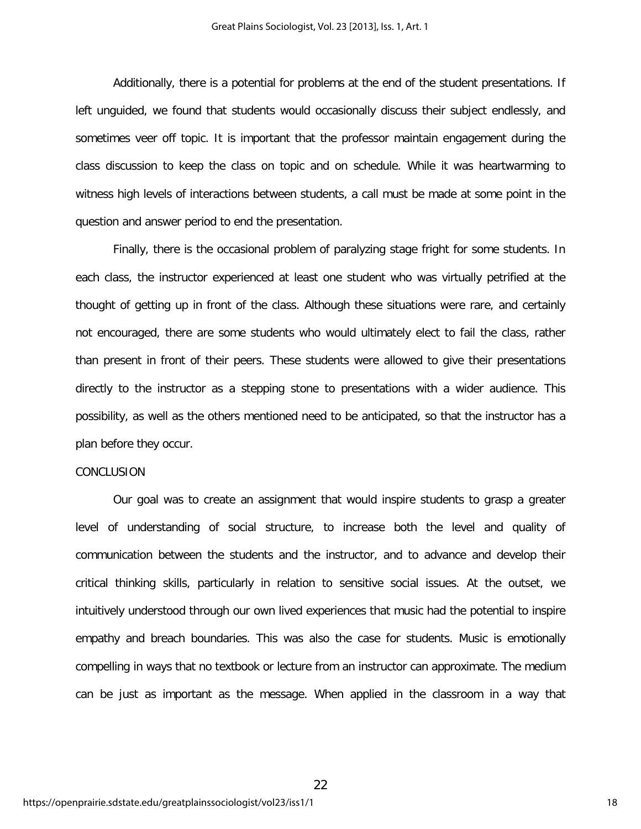Additionally, there is a potential for problems at the end of the student presentations. If left unguided, we found that students would occasionally discuss their subject endlessly, and sometimes veer off topic. It is important that the professor maintain engagement during the class discussion to keep the class on topic and on schedule. While it was heartwarming to witness high levels of interactions between students, a call must be made at some point in the question and answer period to end the presentation.

Finally, there is the occasional problem of paralyzing stage fright for some students. In each class, the instructor experienced at least one student who was virtually petrified at the thought of getting up in front of the class. Although these situations were rare, and certainly not encouraged, there are some students who would ultimately elect to fail the class, rather than present in front of their peers. These students were allowed to give their presentations directly to the instructor as a stepping stone to presentations with a wider audience. This possibility, as well as the others mentioned need to be anticipated, so that the instructor has a plan before they occur.

## CONCLUSION

Our goal was to create an assignment that would inspire students to grasp a greater level of understanding of social structure, to increase both the level and quality of communication between the students and the instructor, and to advance and develop their critical thinking skills, particularly in relation to sensitive social issues. At the outset, we intuitively understood through our own lived experiences that music had the potential to inspire empathy and breach boundaries. This was also the case for students. Music is emotionally compelling in ways that no textbook or lecture from an instructor can approximate. The medium can be just as important as the message. When applied in the classroom in a way that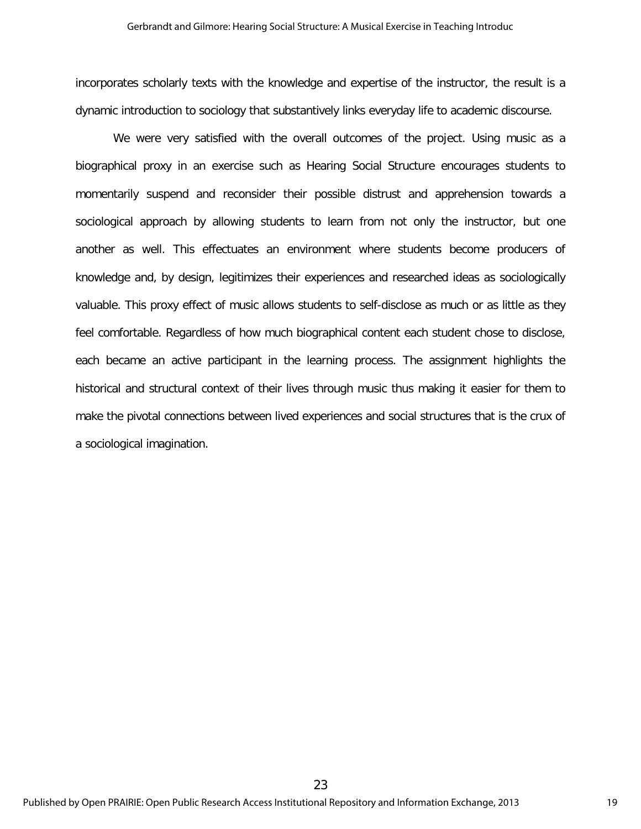incorporates scholarly texts with the knowledge and expertise of the instructor, the result is a dynamic introduction to sociology that substantively links everyday life to academic discourse.

We were very satisfied with the overall outcomes of the project. Using music as a biographical proxy in an exercise such as Hearing Social Structure encourages students to momentarily suspend and reconsider their possible distrust and apprehension towards a sociological approach by allowing students to learn from not only the instructor, but one another as well. This effectuates an environment where students become producers of knowledge and, by design, legitimizes their experiences and researched ideas as sociologically valuable. This proxy effect of music allows students to self-disclose as much or as little as they feel comfortable. Regardless of how much biographical content each student chose to disclose, each became an active participant in the learning process. The assignment highlights the historical and structural context of their lives through music thus making it easier for them to make the pivotal connections between lived experiences and social structures that is the crux of a sociological imagination.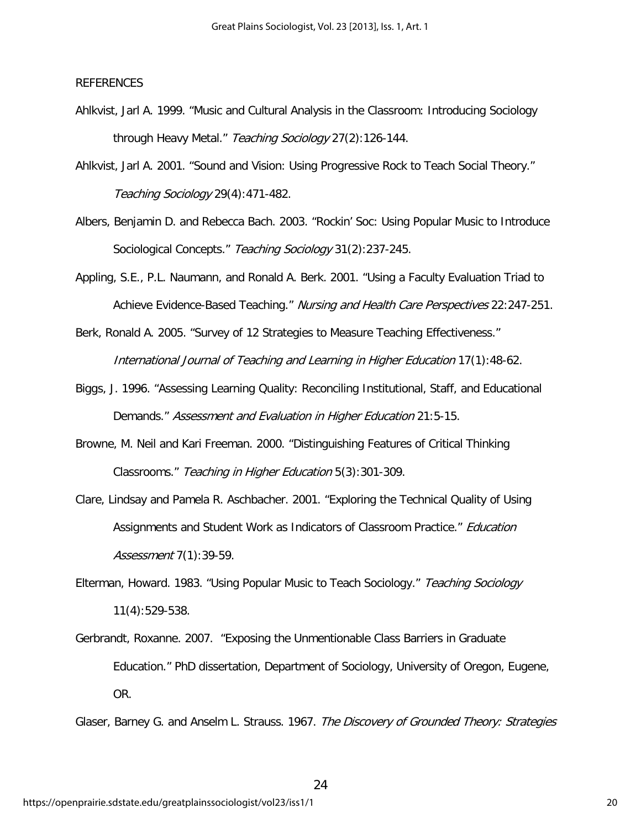## REFERENCES

- Ahlkvist, Jarl A. 1999. "Music and Cultural Analysis in the Classroom: Introducing Sociology through Heavy Metal." Teaching Sociology 27(2):126-144.
- Ahlkvist, Jarl A. 2001. "Sound and Vision: Using Progressive Rock to Teach Social Theory." Teaching Sociology 29(4):471-482.
- Albers, Benjamin D. and Rebecca Bach. 2003. "Rockin' Soc: Using Popular Music to Introduce Sociological Concepts." Teaching Sociology 31(2):237-245.
- Appling, S.E., P.L. Naumann, and Ronald A. Berk. 2001. "Using a Faculty Evaluation Triad to Achieve Evidence-Based Teaching." Nursing and Health Care Perspectives 22:247-251.

Berk, Ronald A. 2005. "Survey of 12 Strategies to Measure Teaching Effectiveness." International Journal of Teaching and Learning in Higher Education 17(1):48-62.

- Biggs, J. 1996. "Assessing Learning Quality: Reconciling Institutional, Staff, and Educational Demands." Assessment and Evaluation in Higher Education 21:5-15.
- Browne, M. Neil and Kari Freeman. 2000. "Distinguishing Features of Critical Thinking Classrooms." Teaching in Higher Education 5(3):301-309.
- Clare, Lindsay and Pamela R. Aschbacher. 2001. "Exploring the Technical Quality of Using Assignments and Student Work as Indicators of Classroom Practice." Education Assessment 7(1):39-59.
- Elterman, Howard. 1983. "Using Popular Music to Teach Sociology." Teaching Sociology 11(4):529-538.
- Gerbrandt, Roxanne. 2007. "Exposing the Unmentionable Class Barriers in Graduate Education." PhD dissertation, Department of Sociology, University of Oregon, Eugene, OR.

Glaser, Barney G. and Anselm L. Strauss. 1967. The Discovery of Grounded Theory: Strategies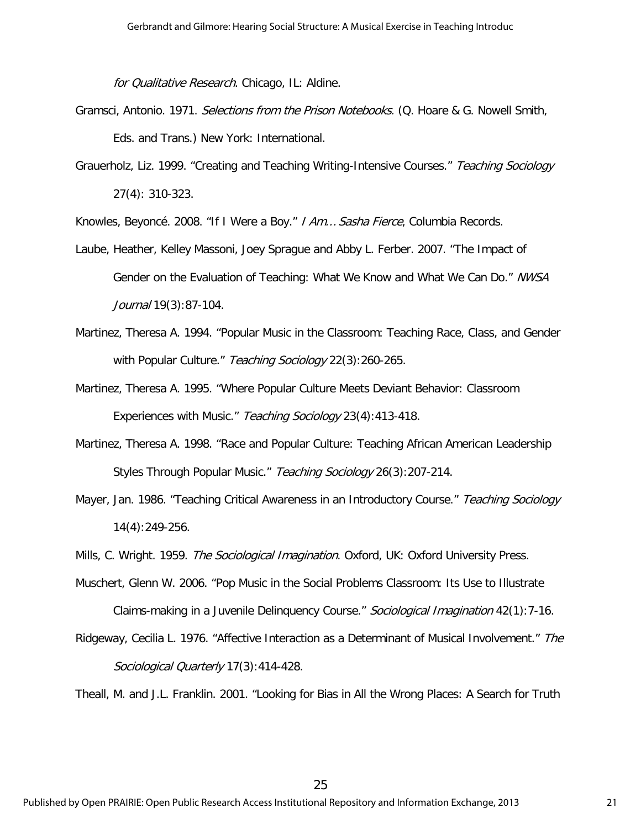for Qualitative Research. Chicago, IL: Aldine.

- Gramsci, Antonio. 1971. Selections from the Prison Notebooks. (Q. Hoare & G. Nowell Smith, Eds. and Trans.) New York: International.
- Grauerholz, Liz. 1999. "Creating and Teaching Writing-Intensive Courses." Teaching Sociology 27(4): 310-323.

Knowles, Beyoncé. 2008. "If I Were a Boy." I Am… Sasha Fierce, Columbia Records.

- Laube, Heather, Kelley Massoni, Joey Sprague and Abby L. Ferber. 2007. "The Impact of Gender on the Evaluation of Teaching: What We Know and What We Can Do." NWSA Journal 19(3):87-104.
- Martinez, Theresa A. 1994. "Popular Music in the Classroom: Teaching Race, Class, and Gender with Popular Culture." Teaching Sociology 22(3):260-265.
- Martinez, Theresa A. 1995. "Where Popular Culture Meets Deviant Behavior: Classroom Experiences with Music." Teaching Sociology 23(4):413-418.
- Martinez, Theresa A. 1998. "Race and Popular Culture: Teaching African American Leadership Styles Through Popular Music." Teaching Sociology 26(3):207-214.
- Mayer, Jan. 1986. "Teaching Critical Awareness in an Introductory Course." Teaching Sociology 14(4):249-256.
- Mills, C. Wright. 1959. The Sociological Imagination. Oxford, UK: Oxford University Press.
- Muschert, Glenn W. 2006. "Pop Music in the Social Problems Classroom: Its Use to Illustrate Claims-making in a Juvenile Delinquency Course." Sociological Imagination 42(1):7-16.
- Ridgeway, Cecilia L. 1976. "Affective Interaction as a Determinant of Musical Involvement." The Sociological Quarterly 17(3):414-428.

Theall, M. and J.L. Franklin. 2001. "Looking for Bias in All the Wrong Places: A Search for Truth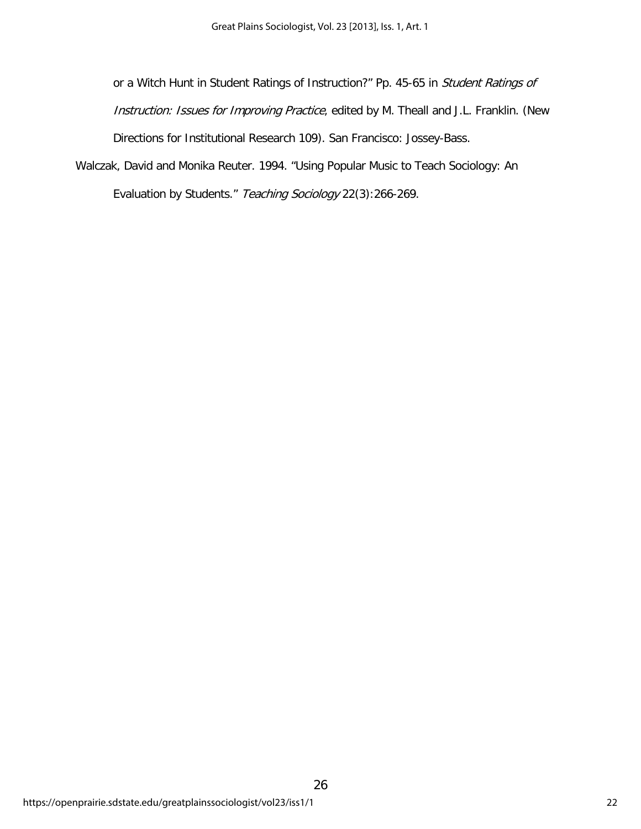or a Witch Hunt in Student Ratings of Instruction?" Pp. 45-65 in Student Ratings of Instruction: Issues for Improving Practice, edited by M. Theall and J.L. Franklin. (New Directions for Institutional Research 109). San Francisco: Jossey-Bass.

26

Walczak, David and Monika Reuter. 1994. "Using Popular Music to Teach Sociology: An Evaluation by Students." Teaching Sociology 22(3):266-269.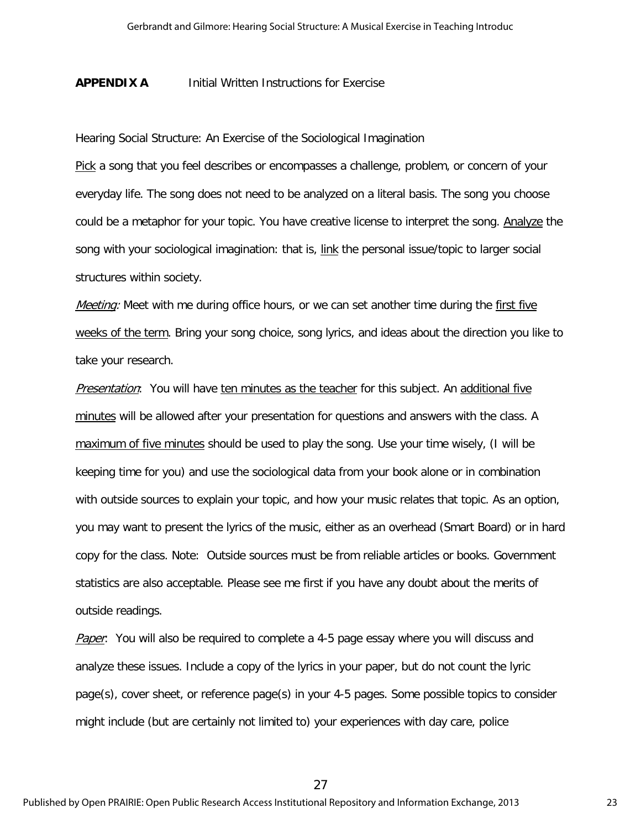### **APPENDIX A** Initial Written Instructions for Exercise

Hearing Social Structure: An Exercise of the Sociological Imagination

Pick a song that you feel describes or encompasses a challenge, problem, or concern of your everyday life. The song does not need to be analyzed on a literal basis. The song you choose could be a metaphor for your topic. You have creative license to interpret the song. Analyze the song with your sociological imagination: that is, link the personal issue/topic to larger social structures within society.

Meeting: Meet with me during office hours, or we can set another time during the first five weeks of the term. Bring your song choice, song lyrics, and ideas about the direction you like to take your research.

Presentation: You will have ten minutes as the teacher for this subject. An additional five minutes will be allowed after your presentation for questions and answers with the class. A maximum of five minutes should be used to play the song. Use your time wisely, (I will be keeping time for you) and use the sociological data from your book alone or in combination with outside sources to explain your topic, and how your music relates that topic. As an option, you may want to present the lyrics of the music, either as an overhead (Smart Board) or in hard copy for the class. Note: Outside sources must be from reliable articles or books. Government statistics are also acceptable. Please see me first if you have any doubt about the merits of outside readings.

Paper: You will also be required to complete a 4-5 page essay where you will discuss and analyze these issues. Include a copy of the lyrics in your paper, but do not count the lyric page(s), cover sheet, or reference page(s) in your 4-5 pages. Some possible topics to consider might include (but are certainly not limited to) your experiences with day care, police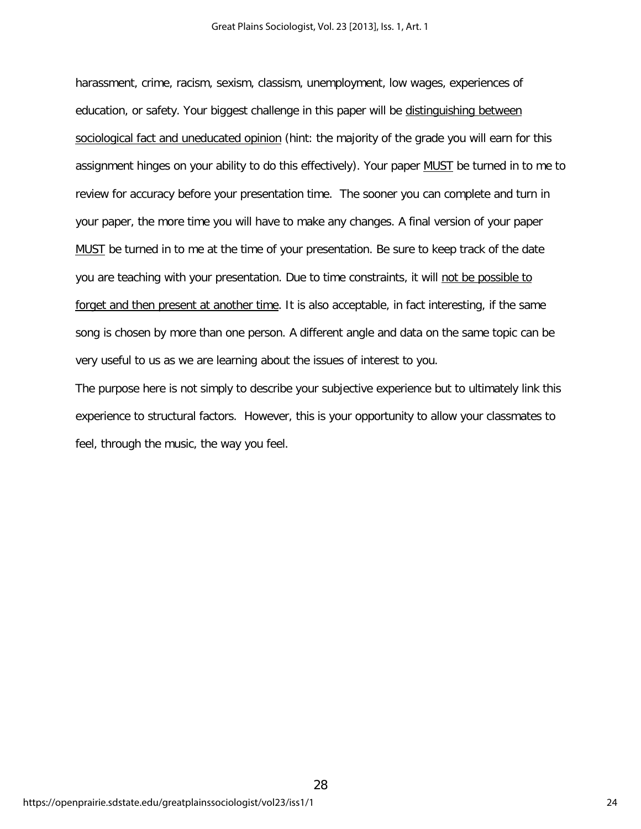harassment, crime, racism, sexism, classism, unemployment, low wages, experiences of education, or safety. Your biggest challenge in this paper will be distinguishing between sociological fact and uneducated opinion (hint: the majority of the grade you will earn for this assignment hinges on your ability to do this effectively). Your paper MUST be turned in to me to review for accuracy before your presentation time. The sooner you can complete and turn in your paper, the more time you will have to make any changes. A final version of your paper MUST be turned in to me at the time of your presentation. Be sure to keep track of the date you are teaching with your presentation. Due to time constraints, it will not be possible to forget and then present at another time. It is also acceptable, in fact interesting, if the same song is chosen by more than one person. A different angle and data on the same topic can be very useful to us as we are learning about the issues of interest to you.

The purpose here is not simply to describe your subjective experience but to ultimately link this experience to structural factors. However, this is your opportunity to allow your classmates to feel, through the music, the way you feel.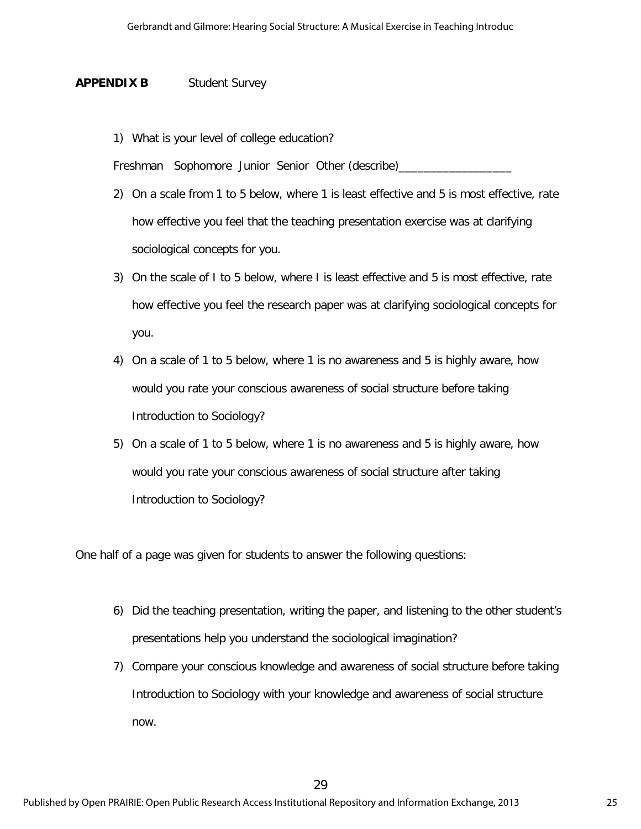## **APPENDIX B** Student Survey

1) What is your level of college education?

Freshman Sophomore Junior Senior Other (describe)\_

- 2) On a scale from 1 to 5 below, where 1 is least effective and 5 is most effective, rate how effective you feel that the teaching presentation exercise was at clarifying sociological concepts for you.
- 3) On the scale of I to 5 below, where I is least effective and 5 is most effective, rate how effective you feel the research paper was at clarifying sociological concepts for you.
- 4) On a scale of 1 to 5 below, where 1 is no awareness and 5 is highly aware, how would you rate your conscious awareness of social structure before taking Introduction to Sociology?
- 5) On a scale of 1 to 5 below, where 1 is no awareness and 5 is highly aware, how would you rate your conscious awareness of social structure after taking Introduction to Sociology?

One half of a page was given for students to answer the following questions:

- 6) Did the teaching presentation, writing the paper, and listening to the other student's presentations help you understand the sociological imagination?
- 7) Compare your conscious knowledge and awareness of social structure before taking Introduction to Sociology with your knowledge and awareness of social structure now.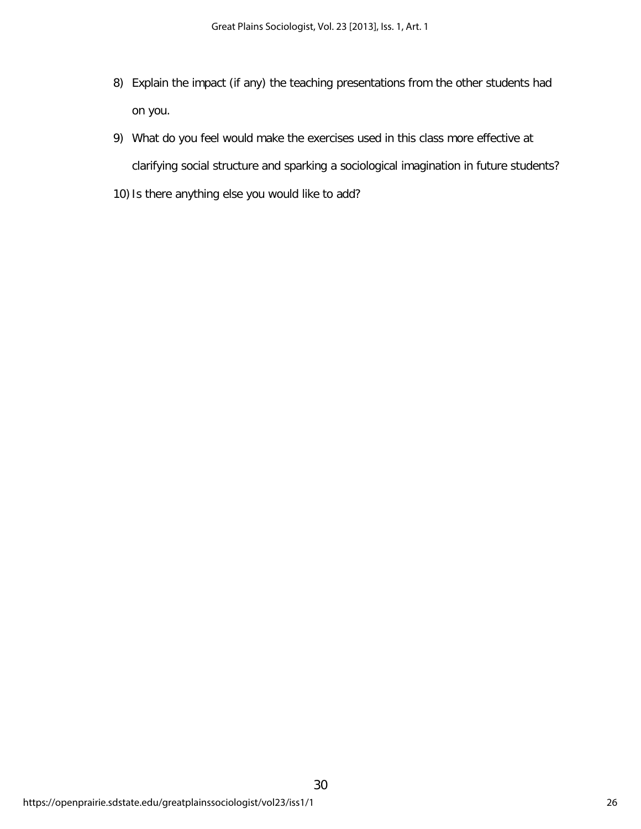- 8) Explain the impact (if any) the teaching presentations from the other students had on you.
- 9) What do you feel would make the exercises used in this class more effective at clarifying social structure and sparking a sociological imagination in future students?
- 10) Is there anything else you would like to add?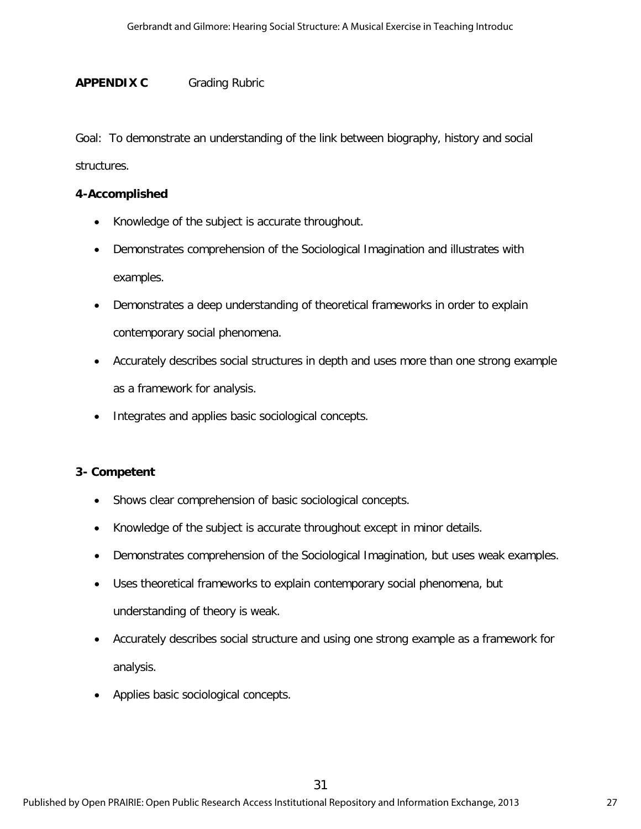## **APPENDIX C** Grading Rubric

Goal: To demonstrate an understanding of the link between biography, history and social structures.

## **4-Accomplished**

- Knowledge of the subject is accurate throughout.
- Demonstrates comprehension of the Sociological Imagination and illustrates with examples.
- Demonstrates a deep understanding of theoretical frameworks in order to explain contemporary social phenomena.
- Accurately describes social structures in depth and uses more than one strong example as a framework for analysis.
- Integrates and applies basic sociological concepts.

## **3- Competent**

- Shows clear comprehension of basic sociological concepts.
- Knowledge of the subject is accurate throughout except in minor details.
- Demonstrates comprehension of the Sociological Imagination, but uses weak examples.
- Uses theoretical frameworks to explain contemporary social phenomena, but understanding of theory is weak.
- Accurately describes social structure and using one strong example as a framework for analysis.
- Applies basic sociological concepts.